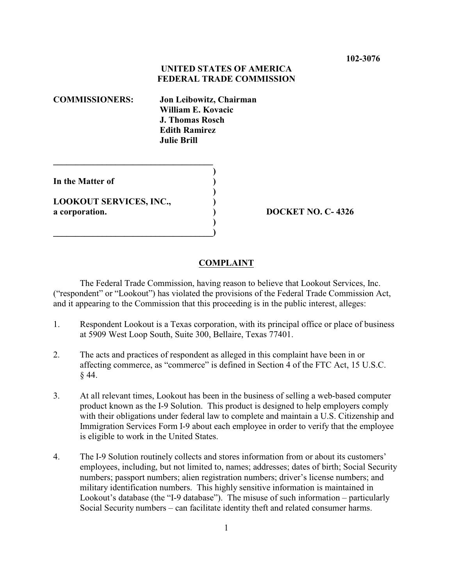## **UNITED STATES OF AMERICA FEDERAL TRADE COMMISSION**

**COMMISSIONERS: Jon Leibowitz, Chairman William E. Kovacic J. Thomas Rosch Edith Ramirez Julie Brill**

**)**

**)**

**)**

**In the Matter of )**

**LOOKOUT SERVICES, INC., ) a corporation. ) DOCKET NO. C- 4326**

**\_\_\_\_\_\_\_\_\_\_\_\_\_\_\_\_\_\_\_\_\_\_\_\_\_\_\_\_\_\_\_\_\_\_\_\_**

**\_\_\_\_\_\_\_\_\_\_\_\_\_\_\_\_\_\_\_\_\_\_\_\_\_\_\_\_\_\_\_\_\_\_\_\_)**

## **COMPLAINT**

The Federal Trade Commission, having reason to believe that Lookout Services, Inc. ("respondent" or "Lookout") has violated the provisions of the Federal Trade Commission Act, and it appearing to the Commission that this proceeding is in the public interest, alleges:

- 1. Respondent Lookout is a Texas corporation, with its principal office or place of business at 5909 West Loop South, Suite 300, Bellaire, Texas 77401.
- 2. The acts and practices of respondent as alleged in this complaint have been in or affecting commerce, as "commerce" is defined in Section 4 of the FTC Act, 15 U.S.C. § 44.
- 3. At all relevant times, Lookout has been in the business of selling a web-based computer product known as the I-9 Solution. This product is designed to help employers comply with their obligations under federal law to complete and maintain a U.S. Citizenship and Immigration Services Form I-9 about each employee in order to verify that the employee is eligible to work in the United States.
- 4. The I-9 Solution routinely collects and stores information from or about its customers' employees, including, but not limited to, names; addresses; dates of birth; Social Security numbers; passport numbers; alien registration numbers; driver's license numbers; and military identification numbers. This highly sensitive information is maintained in Lookout's database (the "I-9 database"). The misuse of such information – particularly Social Security numbers – can facilitate identity theft and related consumer harms.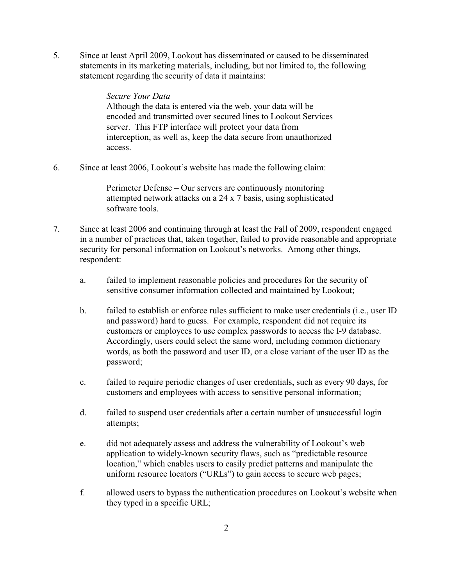5. Since at least April 2009, Lookout has disseminated or caused to be disseminated statements in its marketing materials, including, but not limited to, the following statement regarding the security of data it maintains:

> *Secure Your Data* Although the data is entered via the web, your data will be encoded and transmitted over secured lines to Lookout Services server. This FTP interface will protect your data from interception, as well as, keep the data secure from unauthorized access.

6. Since at least 2006, Lookout's website has made the following claim:

Perimeter Defense – Our servers are continuously monitoring attempted network attacks on a 24 x 7 basis, using sophisticated software tools.

- 7. Since at least 2006 and continuing through at least the Fall of 2009, respondent engaged in a number of practices that, taken together, failed to provide reasonable and appropriate security for personal information on Lookout's networks. Among other things, respondent:
	- a. failed to implement reasonable policies and procedures for the security of sensitive consumer information collected and maintained by Lookout;
	- b. failed to establish or enforce rules sufficient to make user credentials (i.e., user ID and password) hard to guess. For example, respondent did not require its customers or employees to use complex passwords to access the I-9 database. Accordingly, users could select the same word, including common dictionary words, as both the password and user ID, or a close variant of the user ID as the password;
	- c. failed to require periodic changes of user credentials, such as every 90 days, for customers and employees with access to sensitive personal information;
	- d. failed to suspend user credentials after a certain number of unsuccessful login attempts;
	- e. did not adequately assess and address the vulnerability of Lookout's web application to widely-known security flaws, such as "predictable resource location," which enables users to easily predict patterns and manipulate the uniform resource locators ("URLs") to gain access to secure web pages;
	- f. allowed users to bypass the authentication procedures on Lookout's website when they typed in a specific URL;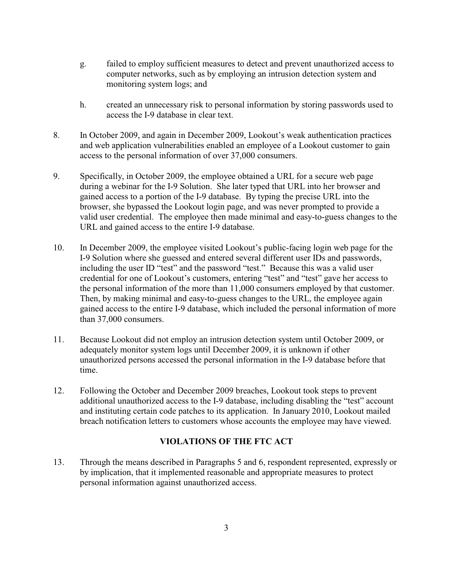- g. failed to employ sufficient measures to detect and prevent unauthorized access to computer networks, such as by employing an intrusion detection system and monitoring system logs; and
- h. created an unnecessary risk to personal information by storing passwords used to access the I-9 database in clear text.
- 8. In October 2009, and again in December 2009, Lookout's weak authentication practices and web application vulnerabilities enabled an employee of a Lookout customer to gain access to the personal information of over 37,000 consumers.
- 9. Specifically, in October 2009, the employee obtained a URL for a secure web page during a webinar for the I-9 Solution. She later typed that URL into her browser and gained access to a portion of the I-9 database. By typing the precise URL into the browser, she bypassed the Lookout login page, and was never prompted to provide a valid user credential. The employee then made minimal and easy-to-guess changes to the URL and gained access to the entire I-9 database.
- 10. In December 2009, the employee visited Lookout's public-facing login web page for the I-9 Solution where she guessed and entered several different user IDs and passwords, including the user ID "test" and the password "test." Because this was a valid user credential for one of Lookout's customers, entering "test" and "test" gave her access to the personal information of the more than 11,000 consumers employed by that customer. Then, by making minimal and easy-to-guess changes to the URL, the employee again gained access to the entire I-9 database, which included the personal information of more than 37,000 consumers.
- 11. Because Lookout did not employ an intrusion detection system until October 2009, or adequately monitor system logs until December 2009, it is unknown if other unauthorized persons accessed the personal information in the I-9 database before that time.
- 12. Following the October and December 2009 breaches, Lookout took steps to prevent additional unauthorized access to the I-9 database, including disabling the "test" account and instituting certain code patches to its application. In January 2010, Lookout mailed breach notification letters to customers whose accounts the employee may have viewed.

## **VIOLATIONS OF THE FTC ACT**

13. Through the means described in Paragraphs 5 and 6, respondent represented, expressly or by implication, that it implemented reasonable and appropriate measures to protect personal information against unauthorized access.